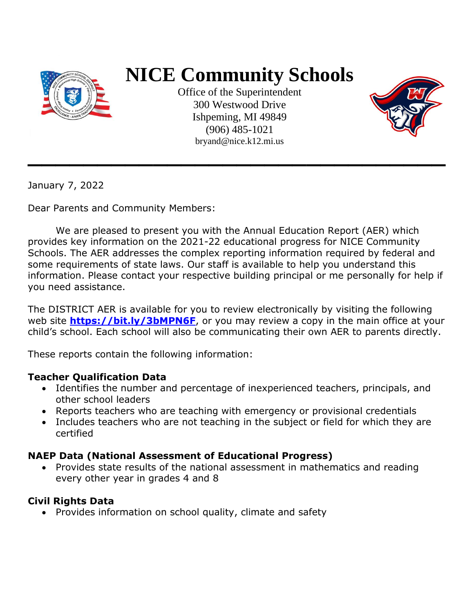

## **NICE Community Schools**

**bryand w nice.k12.millus** Office of the Superintendent 300 Westwood Drive Ishpeming, MI 49849 (906) 485-1021 [bryand@nice.k12.mi.us](mailto:bryand@nice.k12.mi.us)



January 7, 2022

Dear Parents and Community Members:

We are pleased to present you with the Annual Education Report (AER) which provides key information on the 2021-22 educational progress for NICE Community Schools. The AER addresses the complex reporting information required by federal and some requirements of state laws. Our staff is available to help you understand this information. Please contact your respective building principal or me personally for help if you need assistance.

The DISTRICT AER is available for you to review electronically by visiting the following web site **<https://bit.ly/3bMPN6F>**, or you may review a copy in the main office at your child's school. Each school will also be communicating their own AER to parents directly.

These reports contain the following information:

## **Teacher Qualification Data**

- Identifies the number and percentage of inexperienced teachers, principals, and other school leaders
- Reports teachers who are teaching with emergency or provisional credentials
- Includes teachers who are not teaching in the subject or field for which they are certified

## **NAEP Data (National Assessment of Educational Progress)**

• Provides state results of the national assessment in mathematics and reading every other year in grades 4 and 8

## **Civil Rights Data**

• Provides information on school quality, climate and safety